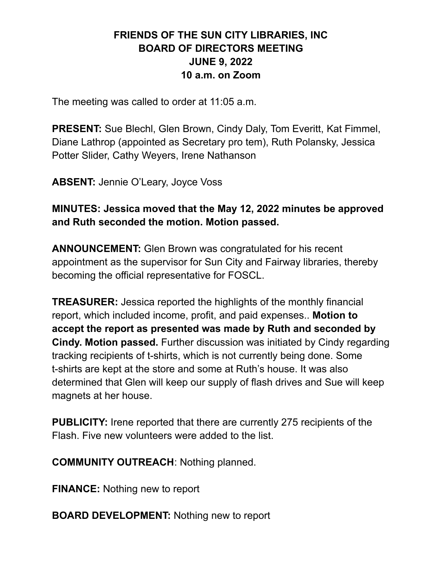# **FRIENDS OF THE SUN CITY LIBRARIES, INC BOARD OF DIRECTORS MEETING JUNE 9, 2022 10 a.m. on Zoom**

The meeting was called to order at 11:05 a.m.

**PRESENT:** Sue Blechl, Glen Brown, Cindy Daly, Tom Everitt, Kat Fimmel, Diane Lathrop (appointed as Secretary pro tem), Ruth Polansky, Jessica Potter Slider, Cathy Weyers, Irene Nathanson

**ABSENT:** Jennie O'Leary, Joyce Voss

**MINUTES: Jessica moved that the May 12, 2022 minutes be approved and Ruth seconded the motion. Motion passed.**

**ANNOUNCEMENT:** Glen Brown was congratulated for his recent appointment as the supervisor for Sun City and Fairway libraries, thereby becoming the official representative for FOSCL.

**TREASURER:** Jessica reported the highlights of the monthly financial report, which included income, profit, and paid expenses.. **Motion to accept the report as presented was made by Ruth and seconded by Cindy. Motion passed.** Further discussion was initiated by Cindy regarding tracking recipients of t-shirts, which is not currently being done. Some t-shirts are kept at the store and some at Ruth's house. It was also determined that Glen will keep our supply of flash drives and Sue will keep magnets at her house.

**PUBLICITY:** Irene reported that there are currently 275 recipients of the Flash. Five new volunteers were added to the list.

**COMMUNITY OUTREACH**: Nothing planned.

**FINANCE:** Nothing new to report

**BOARD DEVELOPMENT:** Nothing new to report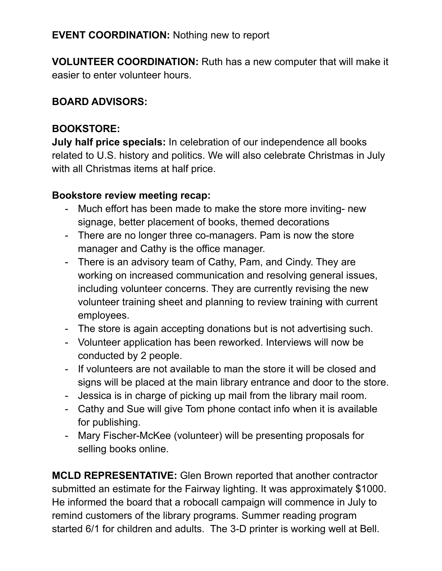## **EVENT COORDINATION:** Nothing new to report

**VOLUNTEER COORDINATION:** Ruth has a new computer that will make it easier to enter volunteer hours.

### **BOARD ADVISORS:**

## **BOOKSTORE:**

**July half price specials:** In celebration of our independence all books related to U.S. history and politics. We will also celebrate Christmas in July with all Christmas items at half price.

## **Bookstore review meeting recap:**

- Much effort has been made to make the store more inviting- new signage, better placement of books, themed decorations
- There are no longer three co-managers. Pam is now the store manager and Cathy is the office manager.
- There is an advisory team of Cathy, Pam, and Cindy. They are working on increased communication and resolving general issues, including volunteer concerns. They are currently revising the new volunteer training sheet and planning to review training with current employees.
- The store is again accepting donations but is not advertising such.
- Volunteer application has been reworked. Interviews will now be conducted by 2 people.
- If volunteers are not available to man the store it will be closed and signs will be placed at the main library entrance and door to the store.
- Jessica is in charge of picking up mail from the library mail room.
- Cathy and Sue will give Tom phone contact info when it is available for publishing.
- Mary Fischer-McKee (volunteer) will be presenting proposals for selling books online.

**MCLD REPRESENTATIVE:** Glen Brown reported that another contractor submitted an estimate for the Fairway lighting. It was approximately \$1000. He informed the board that a robocall campaign will commence in July to remind customers of the library programs. Summer reading program started 6/1 for children and adults. The 3-D printer is working well at Bell.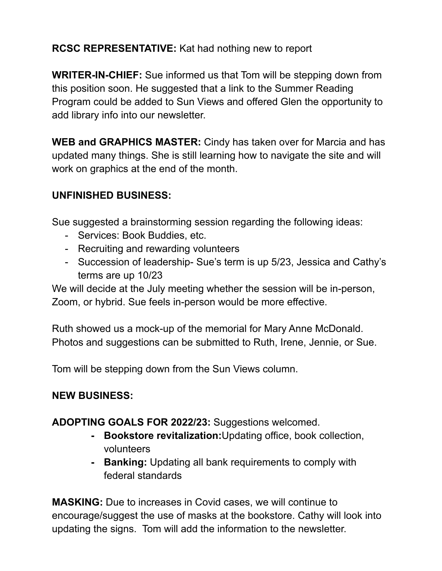# **RCSC REPRESENTATIVE:** Kat had nothing new to report

**WRITER-IN-CHIEF:** Sue informed us that Tom will be stepping down from this position soon. He suggested that a link to the Summer Reading Program could be added to Sun Views and offered Glen the opportunity to add library info into our newsletter.

**WEB and GRAPHICS MASTER:** Cindy has taken over for Marcia and has updated many things. She is still learning how to navigate the site and will work on graphics at the end of the month.

# **UNFINISHED BUSINESS:**

Sue suggested a brainstorming session regarding the following ideas:

- Services: Book Buddies, etc.
- Recruiting and rewarding volunteers
- Succession of leadership- Sue's term is up 5/23, Jessica and Cathy's terms are up 10/23

We will decide at the July meeting whether the session will be in-person, Zoom, or hybrid. Sue feels in-person would be more effective.

Ruth showed us a mock-up of the memorial for Mary Anne McDonald. Photos and suggestions can be submitted to Ruth, Irene, Jennie, or Sue.

Tom will be stepping down from the Sun Views column.

# **NEW BUSINESS:**

### **ADOPTING GOALS FOR 2022/23:** Suggestions welcomed.

- **- Bookstore revitalization:**Updating office, book collection, volunteers
- **- Banking:** Updating all bank requirements to comply with federal standards

**MASKING:** Due to increases in Covid cases, we will continue to encourage/suggest the use of masks at the bookstore. Cathy will look into updating the signs. Tom will add the information to the newsletter.